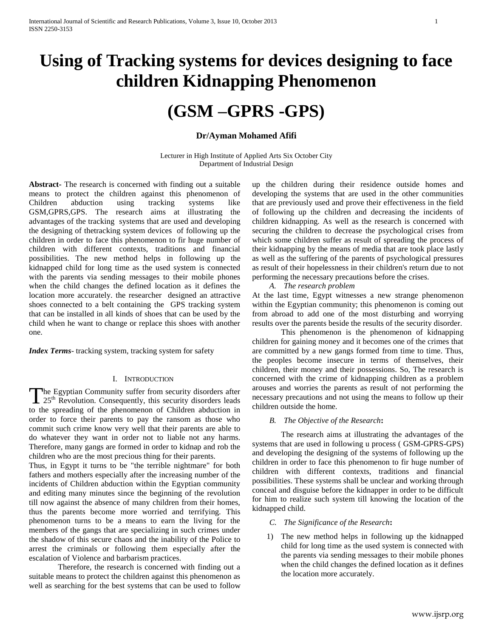# **Using of Tracking systems for devices designing to face children Kidnapping Phenomenon**

## **(GSM –GPRS -GPS)**

#### **Dr/Ayman Mohamed Afifi**

Lecturer in High Institute of Applied Arts Six October City Department of Industrial Design

**Abstract-** The research is concerned with finding out a suitable means to protect the children against this phenomenon of Children abduction using tracking systems like GSM,GPRS,GPS. The research aims at illustrating the advantages of the tracking systems that are used and developing the designing of thetracking system devices of following up the children in order to face this phenomenon to fir huge number of children with different contexts, traditions and financial possibilities. The new method helps in following up the kidnapped child for long time as the used system is connected with the parents via sending messages to their mobile phones when the child changes the defined location as it defines the location more accurately. the researcher designed an attractive shoes connected to a belt containing the GPS tracking system that can be installed in all kinds of shoes that can be used by the child when he want to change or replace this shoes with another one.

*Index Terms*- tracking system, tracking system for safety

#### I. INTRODUCTION

The Egyptian Community suffer from security disorders after The Egyptian Community suffer from security disorders after<br>
25<sup>th</sup> Revolution. Consequently, this security disorders leads to the spreading of the phenomenon of Children abduction in order to force their parents to pay the ransom as those who commit such crime know very well that their parents are able to do whatever they want in order not to liable not any harms. Therefore, many gangs are formed in order to kidnap and rob the children who are the most precious thing for their parents.

Thus, in Egypt it turns to be "the terrible nightmare" for both fathers and mothers especially after the increasing number of the incidents of Children abduction within the Egyptian community and editing many minutes since the beginning of the revolution till now against the absence of many children from their homes, thus the parents become more worried and terrifying. This phenomenon turns to be a means to earn the living for the members of the gangs that are specializing in such crimes under the shadow of this secure chaos and the inability of the Police to arrest the criminals or following them especially after the escalation of Violence and barbarism practices.

Therefore, the research is concerned with finding out a suitable means to protect the children against this phenomenon as well as searching for the best systems that can be used to follow up the children during their residence outside homes and developing the systems that are used in the other communities that are previously used and prove their effectiveness in the field of following up the children and decreasing the incidents of children kidnapping. As well as the research is concerned with securing the children to decrease the psychological crises from which some children suffer as result of spreading the process of their kidnapping by the means of media that are took place lastly as well as the suffering of the parents of psychological pressures as result of their hopelessness in their children's return due to not performing the necessary precautions before the crises.

*A. The research problem*

At the last time, Egypt witnesses a new strange phenomenon within the Egyptian community; this phenomenon is coming out from abroad to add one of the most disturbing and worrying results over the parents beside the results of the security disorder.

This phenomenon is the phenomenon of kidnapping children for gaining money and it becomes one of the crimes that are committed by a new gangs formed from time to time. Thus, the peoples become insecure in terms of themselves, their children, their money and their possessions. So, The research is concerned with the crime of kidnapping children as a problem arouses and worries the parents as result of not performing the necessary precautions and not using the means to follow up their children outside the home.

#### *B. The Objective of the Research***:**

The research aims at illustrating the advantages of the systems that are used in following u process ( GSM-GPRS-GPS) and developing the designing of the systems of following up the children in order to face this phenomenon to fir huge number of children with different contexts, traditions and financial possibilities. These systems shall be unclear and working through conceal and disguise before the kidnapper in order to be difficult for him to realize such system till knowing the location of the kidnapped child.

- *C. The Significance of the Research***:**
- 1) The new method helps in following up the kidnapped child for long time as the used system is connected with the parents via sending messages to their mobile phones when the child changes the defined location as it defines the location more accurately.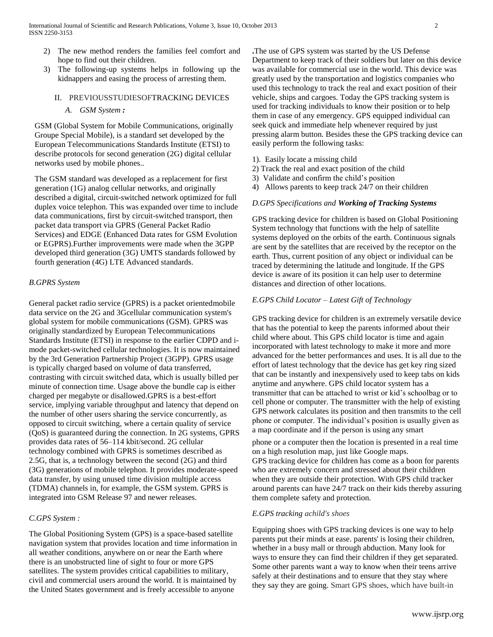- 2) The new method renders the families feel comfort and hope to find out their children.
- 3) The following-up systems helps in following up the kidnappers and easing the process of arresting them.

## II. PREVIOUSSTUDIESOFTRACKING DEVICES

*A. GSM System :*

GSM (Global System for Mobile Communications, originally Groupe Special Mobile), is a standard set developed by the [European Telecommunications Standards Institute](http://en.wikipedia.org/wiki/European_Telecommunications_Standards_Institute) (ETSI) to describe protocols for second generation [\(2G\)](http://en.wikipedia.org/wiki/2G) digital [cellular](http://en.wikipedia.org/wiki/Cellular_network)  [networks](http://en.wikipedia.org/wiki/Cellular_network) used b[y mobile phones.](http://en.wikipedia.org/wiki/Mobile_phone).

The GSM standard was developed as a replacement for first generation [\(1G\)](http://en.wikipedia.org/wiki/1G) analog cellular networks, and originally described a digital, circuit-switched network optimized for [full](http://en.wikipedia.org/wiki/Duplex_(telecommunications)#Full_duplex)  [duplex](http://en.wikipedia.org/wiki/Duplex_(telecommunications)#Full_duplex) voice [telephon.](http://en.wikipedia.org/wiki/Telephony) This was expanded over time to include data communications, first by circuit-switched transport, then [packet](http://en.wikipedia.org/wiki/Network_packet) data transport via [GPRS](http://en.wikipedia.org/wiki/GPRS) (General Packet Radio Services) an[d EDGE](http://en.wikipedia.org/wiki/EDGE) (Enhanced Data rates for GSM Evolution or EGPRS).Further improvements were made when the [3GPP](http://en.wikipedia.org/wiki/3GPP) developed third generation [\(3G\)](http://en.wikipedia.org/wiki/3G) [UMTS](http://en.wikipedia.org/wiki/UMTS) standards followed by fourth generation [\(4G\)](http://en.wikipedia.org/wiki/4G) [LTE Advanced](http://en.wikipedia.org/wiki/LTE_Advanced) standards.

#### *B.GPRS System*

General packet radio service (GPRS) is a [packet orientedmobile](http://en.wikipedia.org/wiki/Packet_oriented)  data service on the [2G](http://en.wikipedia.org/wiki/2G) and [3Gcellular communication](http://en.wikipedia.org/wiki/3G) system's [global system for mobile communications](http://en.wikipedia.org/wiki/Global_System_for_Mobile_Communications) (GSM). GPRS was originally standardized by [European Telecommunications](http://en.wikipedia.org/wiki/European_Telecommunications_Standards_Institute)  [Standards Institute](http://en.wikipedia.org/wiki/European_Telecommunications_Standards_Institute) (ETSI) in response to the earlier [CDPD](http://en.wikipedia.org/wiki/CDPD) and [i](http://en.wikipedia.org/wiki/I-mode)[mode](http://en.wikipedia.org/wiki/I-mode) packet-switched cellular technologies. It is now maintained by the [3rd Generation Partnership Project](http://en.wikipedia.org/wiki/3rd_Generation_Partnership_Project) (3GPP). GPRS usage is typically charged based on volume of data transferred, contrasting with [circuit switched](http://en.wikipedia.org/wiki/Circuit_switching) data, which is usually billed per minute of connection time. Usage above the bundle cap is either charged per megabyte or disallowed.GPRS is a [best-effort](http://en.wikipedia.org/wiki/Best-effort) service, implying variable [throughput](http://en.wikipedia.org/wiki/Throughput) and [latency](http://en.wikipedia.org/wiki/Latency_(engineering)) that depend on the number of other users sharing the service concurrently, as opposed to [circuit switching,](http://en.wikipedia.org/wiki/Circuit_switching) where a certai[n quality of service](http://en.wikipedia.org/wiki/Quality_of_service) (QoS) is guaranteed during the connection. In 2G systems, GPRS provides data rates of 56–114 kbit/second. [2G](http://en.wikipedia.org/wiki/2G) cellular technology combined with GPRS is sometimes described as [2.5G,](http://en.wikipedia.org/wiki/2.5G) that is, a technology between the second [\(2G\)](http://en.wikipedia.org/wiki/2G) and third [\(3G\)](http://en.wikipedia.org/wiki/3G) generations of mobile telephon. It provides moderate-speed data transfer, by using unused [time division multiple access](http://en.wikipedia.org/wiki/Time_division_multiple_access) (TDMA) channels in, for example, the GSM system. GPRS is integrated into GSM Release 97 and newer releases.

#### *C.GPS System :*

The Global Positioning System (GPS) is a space-based [satellite](http://en.wikipedia.org/wiki/Satellite_navigation)  [navigation](http://en.wikipedia.org/wiki/Satellite_navigation) system that provides location and time information in all weather conditions, anywhere on or near the Earth where there is an unobstructed line of sight to four or more GPS satellites. The system provides critical capabilities to military, civil and commercial users around the world. It is maintained by the United States government and is freely accessible to anyone

**.**The use of GPS system was started by the US Defense Department to keep track of their soldiers but later on this device was available for commercial use in the world. This device was greatly used by the transportation and logistics companies who used this technology to track the real and exact position of their vehicle, ships and cargoes. Today the GPS tracking system is used for tracking individuals to know their position or to help them in case of any emergency. GPS equipped individual can seek quick and immediate help whenever required by just pressing alarm button. Besides these the GPS tracking device can easily perform the following tasks:

- 1). Easily locate a missing child
- 2) Track the real and exact position of the child
- 3) Validate and confirm the child's position
- 4) Allows parents to keep track 24/7 on their children

#### *D.GPS Specifications and Working of Tracking Systems*

GPS tracking device for children is based on Global Positioning System technology that functions with the help of satellite systems deployed on the orbits of the earth. Continuous signals are sent by the satellites that are received by the receptor on the earth. Thus, current position of any object or individual can be traced by determining the latitude and longitude. If the GPS device is aware of its position it can help user to determine distances and direction of other locations.

#### *E.GPS Child Locator – Latest Gift of Technology*

GPS tracking device for children is an extremely versatile device that has the potential to keep the parents informed about their child where about. This GPS child locator is time and again incorporated with latest technology to make it more and more advanced for the better performances and uses. It is all due to the effort of latest technology that the device has get key ring sized that can be instantly and inexpensively used to keep tabs on kids anytime and anywhere. GPS child locator system has a transmitter that can be attached to wrist or kid's schoolbag or to cell phone or computer. The transmitter with the help of existing GPS network calculates its position and then transmits to the cell phone or computer. The individual's position is usually given as a map coordinate and if the person is using any smart

phone or a computer then the location is presented in a real time on a high resolution map, just like Google maps. GPS tracking device for children has come as a boon for parents who are extremely concern and stressed about their children when they are outside their protection. With GPS child tracker around parents can have 24/7 track on their kids thereby assuring them complete safety and protection.

#### *E.GPS tracking achild's shoes*

Equipping shoes with GPS tracking devices is one way to help parents put their minds at ease. parents' is losing their children, whether in a busy mall or through abduction. Many look for ways to ensure they can find their children if they get separated. Some other parents want a way to know when their teens arrive safely at their destinations and to ensure that they stay where they say they are going. Smart GPS shoes, which have built-in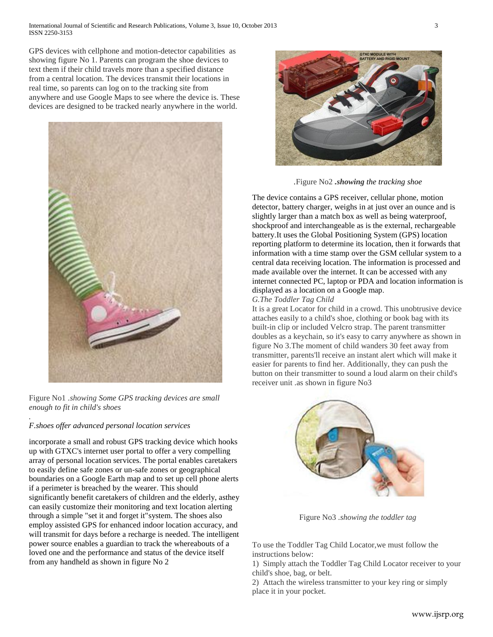GPS devices with cellphone and motion-detector capabilities as showing figure No 1. Parents can program the shoe devices to text them if their child travels more than a specified distance from a central location. The devices transmit their locations in real time, so parents can log on to the tracking site from anywhere and use Google Maps to see where the device is. These devices are designed to be tracked nearly anywhere in the world.



Figure No1 *.showing Some GPS tracking devices are small enough to fit in child's shoes*

## *F.shoes offer advanced personal location services*

*.*

incorporate a [small and robust GPS tracking device](http://www.gtxcorp.com/gallery/technical-specs.htm) which hooks up with GTXC's internet user portal to offer a very compelling array of personal location services. The portal enables caretakers [to easily define safe zones or un-safe zones](http://www.gtxcorp.com/flash/animation.htm) or geographical [boundaries on a Google Earth map](http://www.gtxcorp.com/flash/animation.htm) and to set up cell phone alerts if a perimeter is breached by the wearer. This should significantly benefit caretakers of children and the elderly, asthey can easily customize their monitoring and text location alerting through a simple "set it and forget it"system. The shoes also employ assisted GPS for enhanced indoor location accuracy, and will transmit for days before a recharge is needed. The intelligent power source enables a guardian to track the whereabouts of a loved one and the performance and status of the device itself from any handheld as shown in figure No 2



*.*Figure No2 *.showing the tracking shoe*

The device contains a GPS receiver, cellular phone, motion detector, battery charger, weighs in at just over an ounce and is slightly larger than a match box as well as being waterproof, shockproof and interchangeable as is the external, rechargeable battery.It uses the Global Positioning System (GPS) location reporting platform to determine its location, then it forwards that information with a time stamp over the GSM cellular system to a central data receiving location. The information is processed and made available over the internet. It can be accessed with any internet connected PC, laptop or PDA and location information is displayed as a location on a Google map. *G.The Toddler Tag Child*

It is a great Locator for child in a crowd. This unobtrusive device attaches easily to a child's shoe, clothing or book bag with its built-in clip or included Velcro strap. The parent transmitter doubles as a keychain, so it's easy to carry anywhere as shown in figure No 3.The moment of child wanders 30 feet away from transmitter, parents'll receive an instant alert which will make it easier for parents to find her. Additionally, they can push the button on their transmitter to sound a loud alarm on their child's receiver unit .as shown in figure No3



Figure No3 *.showing the toddler tag*

To use the Toddler Tag Child Locator,we must follow the instructions below:

1) Simply attach the Toddler Tag Child Locator receiver to your child's shoe, bag, or belt.

2) Attach the wireless transmitter to your key ring or simply place it in your pocket.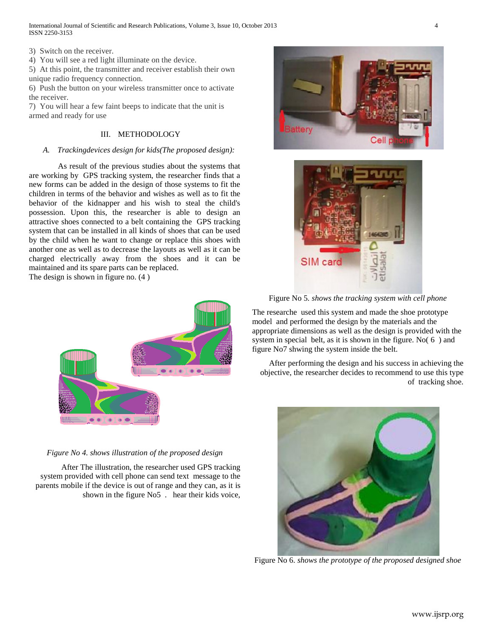3) Switch on the receiver.

4) You will see a red light illuminate on the device.

5) At this point, the transmitter and receiver establish their own unique radio frequency connection.

6) Push the button on your wireless transmitter once to activate the receiver.

7) You will hear a few faint beeps to indicate that the unit is armed and ready for use

## III. METHODOLOGY

#### *A. Trackingdevices design for kids(The proposed design):*

As result of the previous studies about the systems that are working by GPS tracking system, the researcher finds that a new forms can be added in the design of those systems to fit the children in terms of the behavior and wishes as well as to fit the behavior of the kidnapper and his wish to steal the child's possession. Upon this, the researcher is able to design an attractive shoes connected to a belt containing the GPS tracking system that can be installed in all kinds of shoes that can be used by the child when he want to change or replace this shoes with another one as well as to decrease the layouts as well as it can be charged electrically away from the shoes and it can be maintained and its spare parts can be replaced.

The design is shown in figure no. (4 )



#### *Figure No 4. shows illustration of the proposed design*

After The illustration, the researcher used GPS tracking system provided with cell phone can send text message to the parents mobile if the device is out of range and they can, as it is shown in the figure No5 . hear their kids voice,





Figure No 5*. shows the tracking system with cell phone* 

The researche used this system and made the shoe prototype model and performed the design by the materials and the appropriate dimensions as well as the design is provided with the system in special belt, as it is shown in the figure. No( 6 ) and figure No7 shwing the system inside the belt.

After performing the design and his success in achieving the objective, the researcher decides to recommend to use this type of tracking shoe.



Figure No 6. *shows the prototype of the proposed designed shoe*